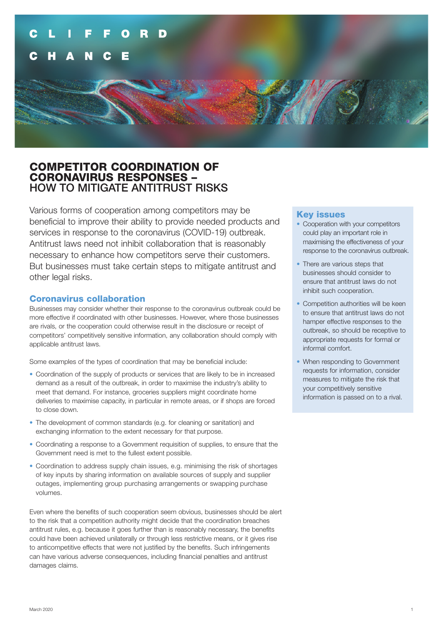## COMPETITOR COORDINATION OF CORONAVIRUS RESPONSES – HOW TO MITIGATE ANTITRUST RISKS

Various forms of cooperation among competitors may be beneficial to improve their ability to provide needed products and services in response to the coronavirus (COVID-19) outbreak. Antitrust laws need not inhibit collaboration that is reasonably necessary to enhance how competitors serve their customers. But businesses must take certain steps to mitigate antitrust and other legal risks.

## Coronavirus collaboration

Businesses may consider whether their response to the coronavirus outbreak could be more effective if coordinated with other businesses. However, where those businesses are rivals, or the cooperation could otherwise result in the disclosure or receipt of competitors' competitively sensitive information, any collaboration should comply with applicable antitrust laws.

Some examples of the types of coordination that may be beneficial include:

- Coordination of the supply of products or services that are likely to be in increased demand as a result of the outbreak, in order to maximise the industry's ability to meet that demand. For instance, groceries suppliers might coordinate home deliveries to maximise capacity, in particular in remote areas, or if shops are forced to close down.
- The development of common standards (e.g. for cleaning or sanitation) and exchanging information to the extent necessary for that purpose.
- Coordinating a response to a Government requisition of supplies, to ensure that the Government need is met to the fullest extent possible.
- Coordination to address supply chain issues, e.g. minimising the risk of shortages of key inputs by sharing information on available sources of supply and supplier outages, implementing group purchasing arrangements or swapping purchase volumes.

Even where the benefits of such cooperation seem obvious, businesses should be alert to the risk that a competition authority might decide that the coordination breaches antitrust rules, e.g. because it goes further than is reasonably necessary, the benefits could have been achieved unilaterally or through less restrictive means, or it gives rise to anticompetitive effects that were not justified by the benefits. Such infringements can have various adverse consequences, including financial penalties and antitrust damages claims.

### Key issues

- Cooperation with your competitors could play an important role in maximising the effectiveness of your response to the coronavirus outbreak.
- There are various steps that businesses should consider to ensure that antitrust laws do not inhibit such cooperation.
- Competition authorities will be keen to ensure that antitrust laws do not hamper effective responses to the outbreak, so should be receptive to appropriate requests for formal or informal comfort.
- When responding to Government requests for information, consider measures to mitigate the risk that your competitively sensitive information is passed on to a rival.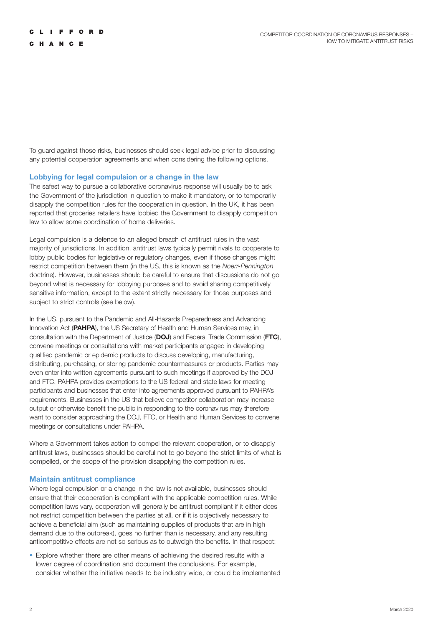To guard against those risks, businesses should seek legal advice prior to discussing any potential cooperation agreements and when considering the following options.

### **Lobbying for legal compulsion or a change in the law**

The safest way to pursue a collaborative coronavirus response will usually be to ask the Government of the jurisdiction in question to make it mandatory, or to temporarily disapply the competition rules for the cooperation in question. In the UK, it has been reported that groceries retailers have lobbied the Government to disapply competition law to allow some coordination of home deliveries.

Legal compulsion is a defence to an alleged breach of antitrust rules in the vast majority of jurisdictions. In addition, antitrust laws typically permit rivals to cooperate to lobby public bodies for legislative or regulatory changes, even if those changes might restrict competition between them (in the US, this is known as the *Noerr-Pennington*  doctrine). However, businesses should be careful to ensure that discussions do not go beyond what is necessary for lobbying purposes and to avoid sharing competitively sensitive information, except to the extent strictly necessary for those purposes and subject to strict controls (see below).

In the US, pursuant to the Pandemic and All-Hazards Preparedness and Advancing Innovation Act (**PAHPA**), the US Secretary of Health and Human Services may, in consultation with the Department of Justice (**DOJ**) and Federal Trade Commission (**FTC**), convene meetings or consultations with market participants engaged in developing qualified pandemic or epidemic products to discuss developing, manufacturing, distributing, purchasing, or storing pandemic countermeasures or products. Parties may even enter into written agreements pursuant to such meetings if approved by the DOJ and FTC. PAHPA provides exemptions to the US federal and state laws for meeting participants and businesses that enter into agreements approved pursuant to PAHPA's requirements. Businesses in the US that believe competitor collaboration may increase output or otherwise benefit the public in responding to the coronavirus may therefore want to consider approaching the DOJ, FTC, or Health and Human Services to convene meetings or consultations under PAHPA.

Where a Government takes action to compel the relevant cooperation, or to disapply antitrust laws, businesses should be careful not to go beyond the strict limits of what is compelled, or the scope of the provision disapplying the competition rules.

#### **Maintain antitrust compliance**

Where legal compulsion or a change in the law is not available, businesses should ensure that their cooperation is compliant with the applicable competition rules. While competition laws vary, cooperation will generally be antitrust compliant if it either does not restrict competition between the parties at all, or if it is objectively necessary to achieve a beneficial aim (such as maintaining supplies of products that are in high demand due to the outbreak), goes no further than is necessary, and any resulting anticompetitive effects are not so serious as to outweigh the benefits. In that respect:

• Explore whether there are other means of achieving the desired results with a lower degree of coordination and document the conclusions. For example, consider whether the initiative needs to be industry wide, or could be implemented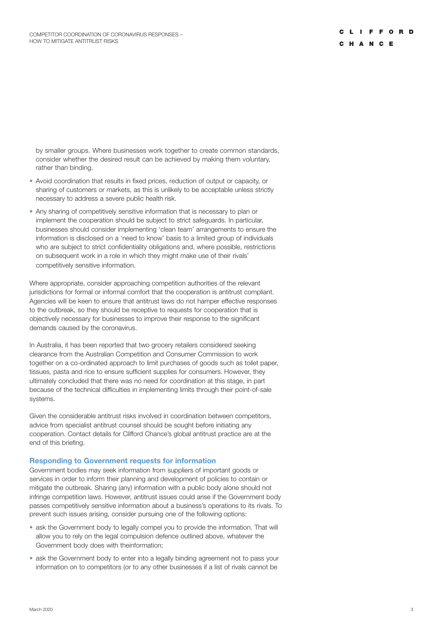by smaller groups. Where businesses work together to create common standards, consider whether the desired result can be achieved by making them voluntary, rather than binding.

- Avoid coordination that results in fixed prices, reduction of output or capacity, or sharing of customers or markets, as this is unlikely to be acceptable unless strictly necessary to address a severe public health risk.
- Any sharing of competitively sensitive information that is necessary to plan or implement the cooperation should be subject to strict safeguards. In particular, businesses should consider implementing 'clean team' arrangements to ensure the information is disclosed on a 'need to know' basis to a limited group of individuals who are subject to strict confidentiality obligations and, where possible, restrictions on subsequent work in a role in which they might make use of their rivals' competitively sensitive information.

Where appropriate, consider approaching competition authorities of the relevant jurisdictions for formal or informal comfort that the cooperation is antitrust compliant. Agencies will be keen to ensure that antitrust laws do not hamper effective responses to the outbreak, so they should be receptive to requests for cooperation that is objectively necessary for businesses to improve their response to the significant demands caused by the coronavirus.

In Australia, it has been reported that two grocery retailers considered seeking clearance from the Australian Competition and Consumer Commission to work together on a co-ordinated approach to limit purchases of goods such as toilet paper, tissues, pasta and rice to ensure sufficient supplies for consumers. However, they ultimately concluded that there was no need for coordination at this stage, in part because of the technical difficulties in implementing limits through their point-of-sale systems.

Given the considerable antitrust risks involved in coordination between competitors, advice from specialist antitrust counsel should be sought before initiating any cooperation. Contact details for Clifford Chance's global antitrust practice are at the end of this briefing.

#### **Responding to Government requests for information**

Government bodies may seek information from suppliers of important goods or services in order to inform their planning and development of policies to contain or mitigate the outbreak. Sharing (any) information with a public body alone should not infringe competition laws. However, antitrust issues could arise if the Government body passes competitively sensitive information about a business's operations to its rivals. To prevent such issues arising, consider pursuing one of the following options:

- ask the Government body to legally compel you to provide the information. That will allow you to rely on the legal compulsion defence outlined above, whatever the Government body does with theinformation;
- ask the Government body to enter into a legally binding agreement not to pass your information on to competitors (or to any other businesses if a list of rivals cannot be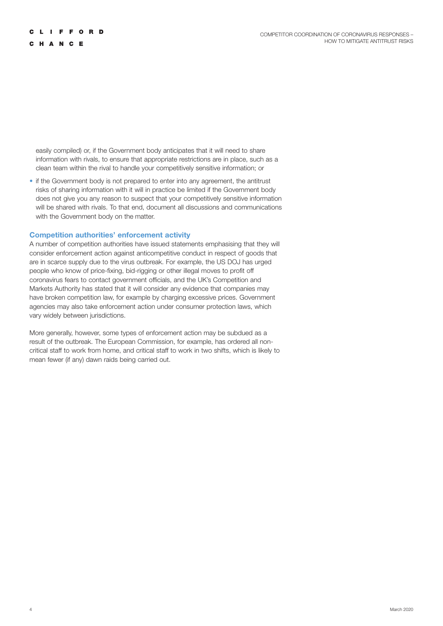C H A N C E

easily compiled) or, if the Government body anticipates that it will need to share information with rivals, to ensure that appropriate restrictions are in place, such as a clean team within the rival to handle your competitively sensitive information; or

• if the Government body is not prepared to enter into any agreement, the antitrust risks of sharing information with it will in practice be limited if the Government body does not give you any reason to suspect that your competitively sensitive information will be shared with rivals. To that end, document all discussions and communications with the Government body on the matter.

### **Competition authorities' enforcement activity**

A number of competition authorities have issued statements emphasising that they will consider enforcement action against anticompetitive conduct in respect of goods that are in scarce supply due to the virus outbreak. For example, the US DOJ has urged people who know of price-fixing, bid-rigging or other illegal moves to profit off coronavirus fears to contact government officials, and the UK's Competition and Markets Authority has stated that it will consider any evidence that companies may have broken competition law, for example by charging excessive prices. Government agencies may also take enforcement action under consumer protection laws, which vary widely between jurisdictions.

More generally, however, some types of enforcement action may be subdued as a result of the outbreak. The European Commission, for example, has ordered all noncritical staff to work from home, and critical staff to work in two shifts, which is likely to mean fewer (if any) dawn raids being carried out.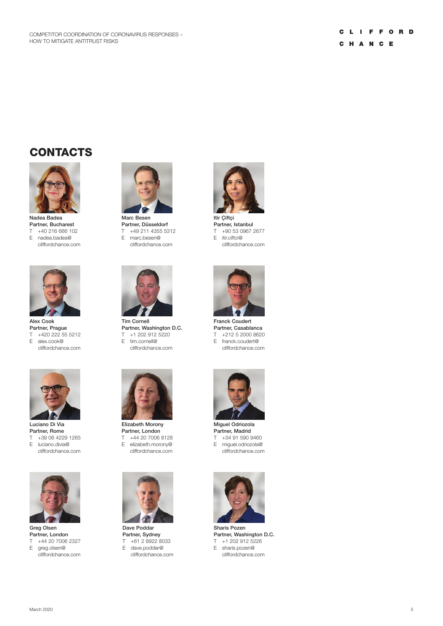# **CONTACTS**



Nadea Badea Partner, Bucharest<br>T +40 216 666 10 T +40 216 666 102<br>E nadea.badea@ E nadea.badea@ cliffordchance.com



Alex Cook Partner, Prague T +420 222 55 5212 E alex.cook@ cliffordchance.com



Luciano Di Via Partner, Rome T +39 06 4229 1265 E luciano.divia@ cliffordchance.com



Greg Olsen Partner, London T +44 20 7006 2327 E greg.olsen@ cliffordchance.com



Partner, Düsseldorf T +49 211 4355 5312 E marc.besen@ cliffordchance.com



Tim Cornell Partner, Washington D.C. T +1 202 912 5220 E tim.cornell@ cliffordchance.com



Elizabeth Morony Partner, London T +44 20 7006 8128

E elizabeth.morony@ cliffordchance.com



Dave Poddar Partner, Sydney T +61 2 8922 8033 E dave.poddar@ cliffordchance.com



Itir Çiftçi Partner, Istanbul<br>T  $+90.53.0967$ +90 53 0967 2677 E itir.ciftci@ cliffordchance.com



Franck Coudert Partner, Casablanca T +212 5 2000 8620 E franck.coudert@ cliffordchance.com



Miguel Odriozola Partner, Madrid T +34 91 590 9460 E miguel.odriozola@ cliffordchance.com



Sharis Pozen Partner, Washington D.C. T +1 202 912 5226 E sharis.pozen@ cliffordchance.com

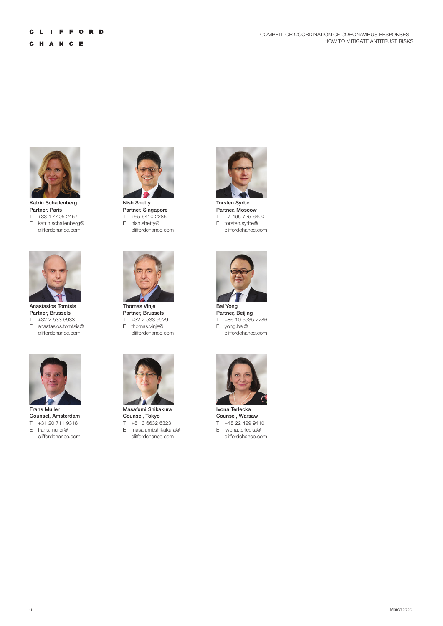

Katrin Schallenberg Partner, Paris T +33 1 4405 2457 E katrin.schallenberg@ cliffordchance.com



Anastasios Tomtsis Partner, Brussels T +32 2 533 5933 E anastasios.tomtsis@ cliffordchance.com



Frans Muller Counsel, Amsterdam T +31 20 711 9318 E frans.muller@ cliffordchance.com



Nish Shetty Partner, Singapore T +65 6410 2285 E nish.shetty@ cliffordchance.com



Thomas Vinje Partner, Brussels T +32 2 533 5929 E thomas.vinje@ cliffordchance.com



Masafumi Shikakura Counsel, Tokyo T +81 3 6632 6323 E masafumi.shikakura@ cliffordchance.com



Torsten Syrbe Partner, Moscow T +7 495 725 6400 E torsten.syrbe@ cliffordchance.com



Bai Yong Partner, Beijing T +86 10 6535 2286 E yong.bai@ cliffordchance.com



Ivona Terlecka Counsel, Warsaw T +48 22 429 9410 E iwona.terlecka@ cliffordchance.com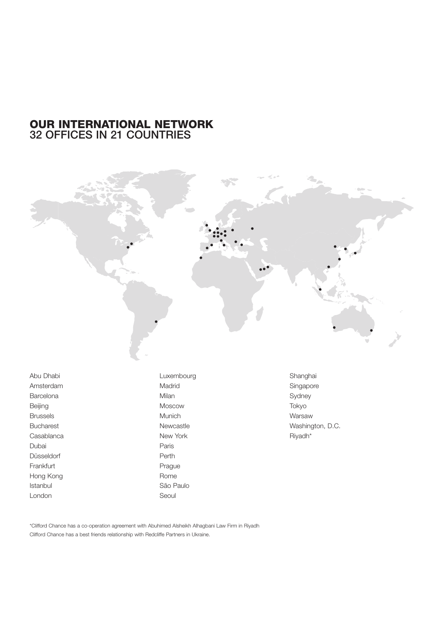## OUR INTERNATIONAL NETWORK 32 OFFICES IN 21 COUNTRIES



Abu Dhabi Amsterdam Barcelona Beijing Brussels Bucharest Casablanca Dubai Düsseldorf Frankfurt Hong Kong Istanbul London

Luxembourg Madrid Milan Moscow Munich Newcastle New York Paris Perth Prague Rome São Paulo Seoul

Shanghai Singapore Sydney Tokyo Warsaw Washington, D.C. Riyadh\*

\*Clifford Chance has a co-operation agreement with Abuhimed Alsheikh Alhagbani Law Firm in Riyadh Clifford Chance has a best friends relationship with Redcliffe Partners in Ukraine.